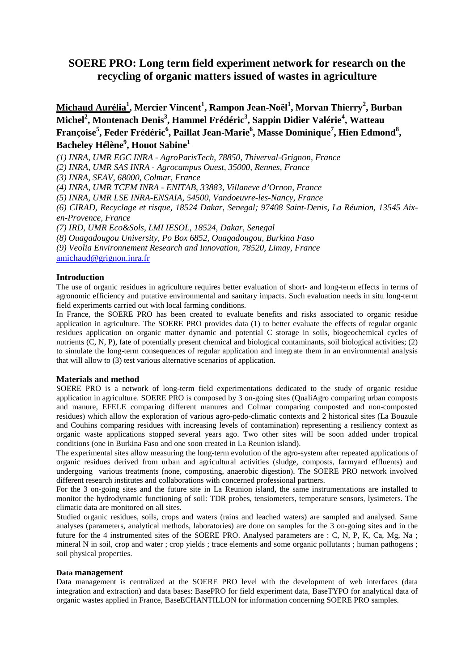# **SOERE PRO: Long term field experiment network for research on the recycling of organic matters issued of wastes in agriculture**

**Michaud Aurélia<sup>1</sup> , Mercier Vincent<sup>1</sup> , Rampon Jean-Noël<sup>1</sup> , Morvan Thierry<sup>2</sup> , Burban Michel<sup>2</sup> , Montenach Denis<sup>3</sup> , Hammel Frédéric<sup>3</sup> , Sappin Didier Valérie<sup>4</sup> , Watteau Françoise<sup>5</sup> , Feder Frédéric<sup>6</sup> , Paillat Jean-Marie<sup>6</sup> , Masse Dominique<sup>7</sup> , Hien Edmond<sup>8</sup> , Bacheley Hélène<sup>9</sup> , Houot Sabine<sup>1</sup>** 

*(1) INRA, UMR EGC INRA - AgroParisTech, 78850, Thiverval-Grignon, France* 

*(2) INRA, UMR SAS INRA - Agrocampus Ouest, 35000, Rennes, France* 

*(3) INRA, SEAV, 68000, Colmar, France* 

*(4) INRA, UMR TCEM INRA - ENITAB, 33883, Villaneve d'Ornon, France* 

*(5) INRA, UMR LSE INRA-ENSAIA, 54500, Vandoeuvre-les-Nancy, France* 

*(6) CIRAD, Recyclage et risque, 18524 Dakar, Senegal; 97408 Saint-Denis, La Réunion, 13545 Aixen-Provence, France* 

*(7) IRD, UMR Eco&Sols, LMI IESOL, 18524, Dakar, Senegal* 

*(8) Ouagadougou University, Po Box 6852, Ouagadougou, Burkina Faso* 

*(9) Veolia Environnement Research and Innovation, 78520, Limay, France* 

amichaud@grignon.inra.fr

#### **Introduction**

The use of organic residues in agriculture requires better evaluation of short- and long-term effects in terms of agronomic efficiency and putative environmental and sanitary impacts. Such evaluation needs in situ long-term field experiments carried out with local farming conditions.

In France, the SOERE PRO has been created to evaluate benefits and risks associated to organic residue application in agriculture. The SOERE PRO provides data (1) to better evaluate the effects of regular organic residues application on organic matter dynamic and potential C storage in soils, biogeochemical cycles of nutrients (C, N, P), fate of potentially present chemical and biological contaminants, soil biological activities; (2) to simulate the long-term consequences of regular application and integrate them in an environmental analysis that will allow to (3) test various alternative scenarios of application.

#### **Materials and method**

SOERE PRO is a network of long-term field experimentations dedicated to the study of organic residue application in agriculture. SOERE PRO is composed by 3 on-going sites (QualiAgro comparing urban composts and manure, EFELE comparing different manures and Colmar comparing composted and non-composted residues) which allow the exploration of various agro-pedo-climatic contexts and 2 historical sites (La Bouzule and Couhins comparing residues with increasing levels of contamination) representing a resiliency context as organic waste applications stopped several years ago. Two other sites will be soon added under tropical conditions (one in Burkina Faso and one soon created in La Reunion island).

The experimental sites allow measuring the long-term evolution of the agro-system after repeated applications of organic residues derived from urban and agricultural activities (sludge, composts, farmyard effluents) and undergoing various treatments (none, composting, anaerobic digestion). The SOERE PRO network involved different research institutes and collaborations with concerned professional partners.

For the 3 on-going sites and the future site in La Reunion island, the same instrumentations are installed to monitor the hydrodynamic functioning of soil: TDR probes, tensiometers, temperature sensors, lysimeters. The climatic data are monitored on all sites.

Studied organic residues, soils, crops and waters (rains and leached waters) are sampled and analysed. Same analyses (parameters, analytical methods, laboratories) are done on samples for the 3 on-going sites and in the future for the 4 instrumented sites of the SOERE PRO. Analysed parameters are : C, N, P, K, Ca, Mg, Na ; mineral N in soil, crop and water ; crop yields ; trace elements and some organic pollutants ; human pathogens ; soil physical properties.

#### **Data management**

Data management is centralized at the SOERE PRO level with the development of web interfaces (data integration and extraction) and data bases: BasePRO for field experiment data, BaseTYPO for analytical data of organic wastes applied in France, BaseECHANTILLON for information concerning SOERE PRO samples.